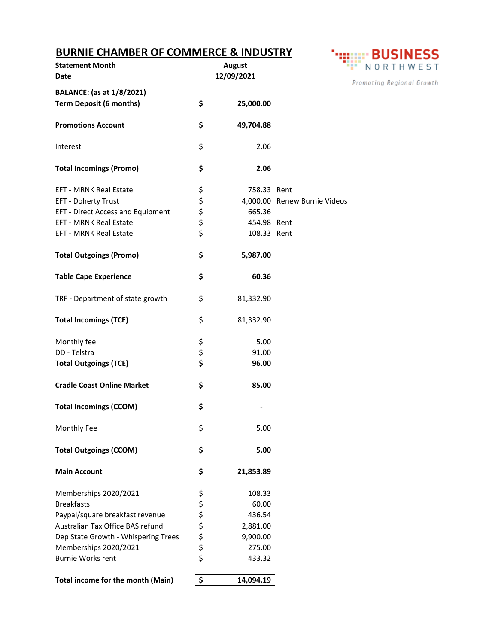## **BURNIE CHAMBER OF COMMERCE & INDUSTRY**

| <b>Statement Month</b><br>Date                                     | <b>August</b><br>12/09/2021 |             | Pror                         |
|--------------------------------------------------------------------|-----------------------------|-------------|------------------------------|
| <b>BALANCE:</b> (as at 1/8/2021)<br><b>Term Deposit (6 months)</b> | \$                          | 25,000.00   |                              |
| <b>Promotions Account</b>                                          | \$                          | 49,704.88   |                              |
| Interest                                                           | \$                          | 2.06        |                              |
| <b>Total Incomings (Promo)</b>                                     | \$                          | 2.06        |                              |
| <b>EFT - MRNK Real Estate</b>                                      | \$                          | 758.33 Rent |                              |
| EFT - Doherty Trust                                                |                             |             | 4,000.00 Renew Burnie Videos |
| <b>EFT - Direct Access and Equipment</b>                           | \$ \$ \$ \$                 | 665.36      |                              |
| <b>EFT - MRNK Real Estate</b>                                      |                             | 454.98 Rent |                              |
| <b>EFT - MRNK Real Estate</b>                                      |                             | 108.33 Rent |                              |
| <b>Total Outgoings (Promo)</b>                                     | \$                          | 5,987.00    |                              |
| <b>Table Cape Experience</b>                                       | \$                          | 60.36       |                              |
| TRF - Department of state growth                                   | \$                          | 81,332.90   |                              |
| <b>Total Incomings (TCE)</b>                                       | \$                          | 81,332.90   |                              |
| Monthly fee                                                        | \$                          | 5.00        |                              |
| DD - Telstra                                                       | \$                          | 91.00       |                              |
| <b>Total Outgoings (TCE)</b>                                       | \$                          | 96.00       |                              |
| <b>Cradle Coast Online Market</b>                                  | \$                          | 85.00       |                              |
| <b>Total Incomings (CCOM)</b>                                      | \$                          |             |                              |
| Monthly Fee                                                        | \$                          | 5.00        |                              |
| <b>Total Outgoings (CCOM)</b>                                      | \$                          | 5.00        |                              |
| <b>Main Account</b>                                                | \$                          | 21,853.89   |                              |
| Memberships 2020/2021                                              |                             | 108.33      |                              |
| <b>Breakfasts</b>                                                  |                             | 60.00       |                              |
| Paypal/square breakfast revenue                                    |                             | 436.54      |                              |
| Australian Tax Office BAS refund                                   |                             | 2,881.00    |                              |
| Dep State Growth - Whispering Trees                                |                             | 9,900.00    |                              |
| Memberships 2020/2021                                              |                             | 275.00      |                              |
| <b>Burnie Works rent</b>                                           | さんそう そう                     | 433.32      |                              |
| Total income for the month (Main)                                  | \$                          | 14,094.19   |                              |



moting Regional Growth